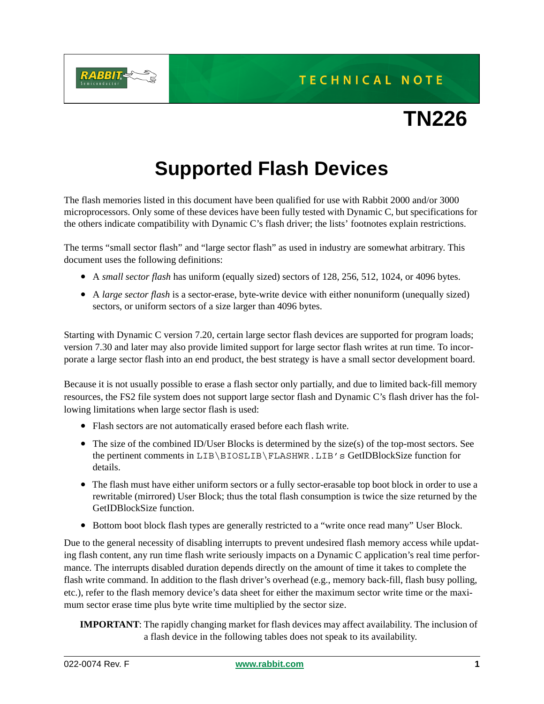

## TECHNICAL NOTE

# **TN226**

## **Supported Flash Devices**

The flash memories listed in this document have been qualified for use with Rabbit 2000 and/or 3000 microprocessors. Only some of these devices have been fully tested with Dynamic C, but specifications for the others indicate compatibility with Dynamic C's flash driver; the lists' footnotes explain restrictions.

The terms "small sector flash" and "large sector flash" as used in industry are somewhat arbitrary. This document uses the following definitions:

- A *small sector flash* has uniform (equally sized) sectors of 128, 256, 512, 1024, or 4096 bytes.
- A *large sector flash* is a sector-erase, byte-write device with either nonuniform (unequally sized) sectors, or uniform sectors of a size larger than 4096 bytes.

Starting with Dynamic C version 7.20, certain large sector flash devices are supported for program loads; version 7.30 and later may also provide limited support for large sector flash writes at run time. To incorporate a large sector flash into an end product, the best strategy is have a small sector development board.

Because it is not usually possible to erase a flash sector only partially, and due to limited back-fill memory resources, the FS2 file system does not support large sector flash and Dynamic C's flash driver has the following limitations when large sector flash is used:

- Flash sectors are not automatically erased before each flash write.
- The size of the combined ID/User Blocks is determined by the size(s) of the top-most sectors. See the pertinent comments in LIB\BIOSLIB\FLASHWR.LIB's GetIDBlockSize function for details.
- The flash must have either uniform sectors or a fully sector-erasable top boot block in order to use a rewritable (mirrored) User Block; thus the total flash consumption is twice the size returned by the GetIDBlockSize function.
- Bottom boot block flash types are generally restricted to a "write once read many" User Block.

Due to the general necessity of disabling interrupts to prevent undesired flash memory access while updating flash content, any run time flash write seriously impacts on a Dynamic C application's real time performance. The interrupts disabled duration depends directly on the amount of time it takes to complete the flash write command. In addition to the flash driver's overhead (e.g., memory back-fill, flash busy polling, etc.), refer to the flash memory device's data sheet for either the maximum sector write time or the maximum sector erase time plus byte write time multiplied by the sector size.

**IMPORTANT**: The rapidly changing market for flash devices may affect availability. The inclusion of a flash device in the following tables does not speak to its availability.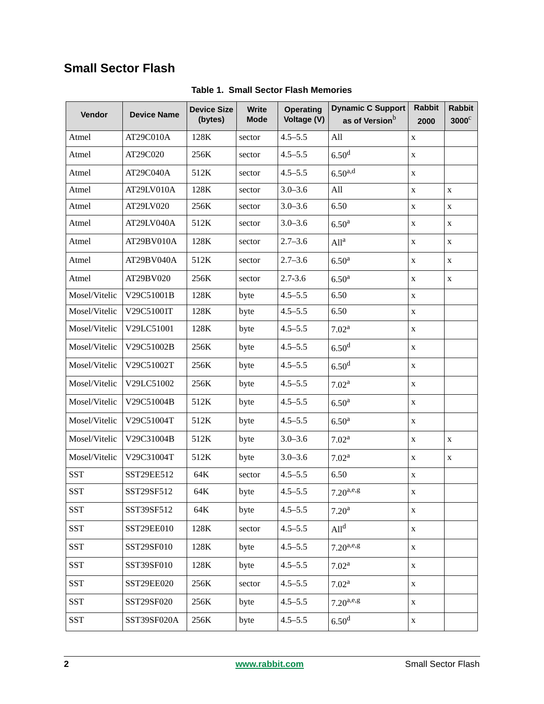### **Small Sector Flash**

| Vendor        | <b>Device Name</b> | <b>Device Size</b><br>(bytes) | <b>Write</b><br><b>Mode</b> | <b>Operating</b><br>Voltage (V) | <b>Dynamic C Support</b><br>as of Version <sup>b</sup> | <b>Rabbit</b><br>2000 | <b>Rabbit</b><br>$3000^\circ$ |
|---------------|--------------------|-------------------------------|-----------------------------|---------------------------------|--------------------------------------------------------|-----------------------|-------------------------------|
| Atmel         | AT29C010A          | 128K                          | sector                      | $4.5 - 5.5$                     | All                                                    | X                     |                               |
| Atmel         | AT29C020           | 256K                          | sector                      | $4.5 - 5.5$                     | 6.50 <sup>d</sup>                                      | X                     |                               |
| Atmel         | AT29C040A          | 512K                          | sector                      | $4.5 - 5.5$                     | $6.50^{a,d}$                                           | $\mathbf X$           |                               |
| Atmel         | AT29LV010A         | 128K                          | sector                      | $3.0 - 3.6$                     | All                                                    | $\mathbf X$           | $\mathbf X$                   |
| Atmel         | AT29LV020          | 256K                          | sector                      | $3.0 - 3.6$                     | 6.50                                                   | $\mathbf X$           | X                             |
| Atmel         | AT29LV040A         | 512K                          | sector                      | $3.0 - 3.6$                     | 6.50 <sup>a</sup>                                      | X                     | X                             |
| Atmel         | AT29BV010A         | 128K                          | sector                      | $2.7 - 3.6$                     | All <sup>a</sup>                                       | X                     | X                             |
| Atmel         | AT29BV040A         | 512K                          | sector                      | $2.7 - 3.6$                     | 6.50 <sup>a</sup>                                      | $\mathbf X$           | X                             |
| Atmel         | AT29BV020          | 256K                          | sector                      | $2.7 - 3.6$                     | 6.50 <sup>a</sup>                                      | X                     | X                             |
| Mosel/Vitelic | V29C51001B         | 128K                          | byte                        | $4.5 - 5.5$                     | 6.50                                                   | $\mathbf X$           |                               |
| Mosel/Vitelic | V29C51001T         | 128K                          | byte                        | $4.5 - 5.5$                     | 6.50                                                   | $\mathbf X$           |                               |
| Mosel/Vitelic | V29LC51001         | 128K                          | byte                        | $4.5 - 5.5$                     | 7.02 <sup>a</sup>                                      | X                     |                               |
| Mosel/Vitelic | V29C51002B         | 256K                          | byte                        | $4.5 - 5.5$                     | 6.50 <sup>d</sup>                                      | X                     |                               |
| Mosel/Vitelic | V29C51002T         | 256K                          | byte                        | $4.5 - 5.5$                     | 6.50 <sup>d</sup>                                      | X                     |                               |
| Mosel/Vitelic | V29LC51002         | 256K                          | byte                        | $4.5 - 5.5$                     | 7.02 <sup>a</sup>                                      | X                     |                               |
| Mosel/Vitelic | V29C51004B         | 512K                          | byte                        | $4.5 - 5.5$                     | 6.50 <sup>a</sup>                                      | $\mathbf X$           |                               |
| Mosel/Vitelic | V29C51004T         | 512K                          | byte                        | $4.5 - 5.5$                     | 6.50 <sup>a</sup>                                      | X                     |                               |
| Mosel/Vitelic | V29C31004B         | 512K                          | byte                        | $3.0 - 3.6$                     | 7.02 <sup>a</sup>                                      | $\mathbf X$           | $\mathbf X$                   |
| Mosel/Vitelic | V29C31004T         | 512K                          | byte                        | $3.0 - 3.6$                     | 7.02 <sup>a</sup>                                      | X                     | X                             |
| <b>SST</b>    | SST29EE512         | 64K                           | sector                      | $4.5 - 5.5$                     | 6.50                                                   | $\mathbf X$           |                               |
| <b>SST</b>    | SST29SF512         | 64K                           | byte                        | $4.5 - 5.5$                     | $7.20^{a,e,g}$                                         | X                     |                               |
| <b>SST</b>    | SST39SF512         | 64K                           | byte                        | $4.5 - 5.5$                     | 7.20 <sup>a</sup>                                      | X                     |                               |
| <b>SST</b>    | SST29EE010         | 128K                          | sector                      | $4.5 - 5.5$                     | All <sup>d</sup>                                       | $\mathbf X$           |                               |
| <b>SST</b>    | SST29SF010         | 128K                          | byte                        | $4.5 - 5.5$                     | $7.20^{a,e,g}$                                         | $\mathbf X$           |                               |
| <b>SST</b>    | SST39SF010         | 128K                          | byte                        | $4.5 - 5.5$                     | 7.02 <sup>a</sup>                                      | $\mathbf X$           |                               |
| <b>SST</b>    | SST29EE020         | 256K                          | sector                      | $4.5 - 5.5$                     | $7.02^{\rm a}$                                         | $\mathbf X$           |                               |
| <b>SST</b>    | SST29SF020         | 256K                          | byte                        | $4.5 - 5.5$                     | $7.20^{a,e,g}$                                         | $\mathbf X$           |                               |
| <b>SST</b>    | SST39SF020A        | 256K                          | byte                        | $4.5 - 5.5$                     | 6.50 <sup>d</sup>                                      | $\mathbf X$           |                               |

**Table 1. Small Sector Flash Memories**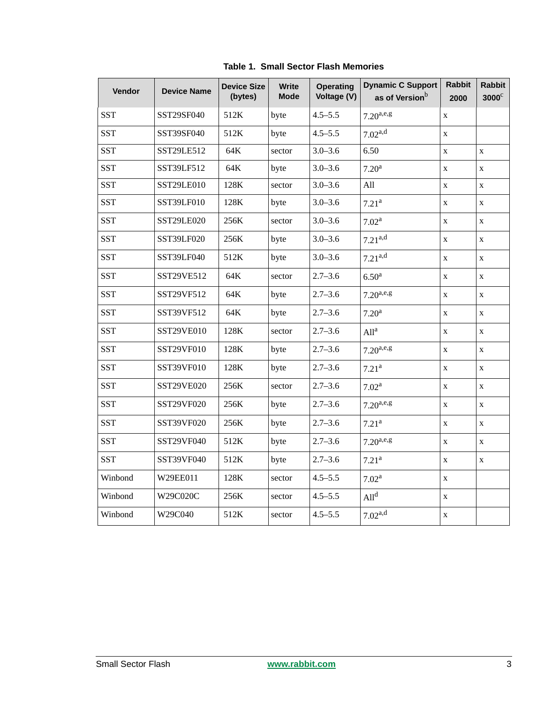| Vendor     | <b>Device Name</b> | <b>Device Size</b><br>(bytes) | <b>Write</b><br><b>Mode</b> | <b>Operating</b><br>Voltage (V) | <b>Dynamic C Support</b><br>as of Version <sup>b</sup> | <b>Rabbit</b><br>2000 | <b>Rabbit</b><br>$3000^\circ$ |
|------------|--------------------|-------------------------------|-----------------------------|---------------------------------|--------------------------------------------------------|-----------------------|-------------------------------|
| <b>SST</b> | SST29SF040         | 512K                          | byte                        | $4.5 - 5.5$                     | $7.20^{a,e,g}$                                         | $\mathbf X$           |                               |
| <b>SST</b> | SST39SF040         | 512K                          | byte                        | $4.5 - 5.5$                     | $7.02^{a,d}$                                           | $\mathbf X$           |                               |
| <b>SST</b> | SST29LE512         | 64K                           | sector                      | $3.0 - 3.6$                     | 6.50                                                   | $\mathbf X$           | $\mathbf X$                   |
| <b>SST</b> | SST39LF512         | 64K                           | byte                        | $3.0 - 3.6$                     | 7.20 <sup>a</sup>                                      | $\mathbf{X}$          | $\mathbf{X}$                  |
| <b>SST</b> | SST29LE010         | 128K                          | sector                      | $3.0 - 3.6$                     | All                                                    | $\mathbf X$           | $\mathbf X$                   |
| <b>SST</b> | SST39LF010         | 128K                          | byte                        | $3.0 - 3.6$                     | 7.21 <sup>a</sup>                                      | $\mathbf X$           | $\mathbf X$                   |
| <b>SST</b> | SST29LE020         | 256K                          | sector                      | $3.0 - 3.6$                     | 7.02 <sup>a</sup>                                      | $\mathbf X$           | $\mathbf X$                   |
| <b>SST</b> | SST39LF020         | 256K                          | byte                        | $3.0 - 3.6$                     | $7.21^{a,d}$                                           | $\mathbf X$           | $\mathbf X$                   |
| <b>SST</b> | SST39LF040         | 512K                          | byte                        | $3.0 - 3.6$                     | $7.21^{a,d}$                                           | $\mathbf X$           | $\mathbf X$                   |
| <b>SST</b> | SST29VE512         | 64K                           | sector                      | $2.7 - 3.6$                     | 6.50 <sup>a</sup>                                      | $\mathbf X$           | $\mathbf X$                   |
| <b>SST</b> | SST29VF512         | 64K                           | byte                        | $2.7 - 3.6$                     | $7.20^{a,e,g}$                                         | $\mathbf X$           | $\mathbf X$                   |
| <b>SST</b> | SST39VF512         | 64K                           | byte                        | $2.7 - 3.6$                     | 7.20 <sup>a</sup>                                      | $\mathbf X$           | $\mathbf X$                   |
| <b>SST</b> | SST29VE010         | 128K                          | sector                      | $2.7 - 3.6$                     | All <sup>a</sup>                                       | $\mathbf X$           | $\mathbf X$                   |
| <b>SST</b> | SST29VF010         | 128K                          | byte                        | $2.7 - 3.6$                     | $7.20^{a,e,g}$                                         | $\mathbf X$           | $\mathbf X$                   |
| <b>SST</b> | SST39VF010         | 128K                          | byte                        | $2.7 - 3.6$                     | 7.21 <sup>a</sup>                                      | $\mathbf X$           | $\mathbf X$                   |
| <b>SST</b> | SST29VE020         | 256K                          | sector                      | $2.7 - 3.6$                     | 7.02 <sup>a</sup>                                      | $\mathbf X$           | $\mathbf X$                   |
| <b>SST</b> | SST29VF020         | 256K                          | byte                        | $2.7 - 3.6$                     | $7.20^{a,e,g}$                                         | $\mathbf X$           | $\mathbf X$                   |
| <b>SST</b> | SST39VF020         | 256K                          | byte                        | $2.7 - 3.6$                     | 7.21 <sup>a</sup>                                      | $\mathbf X$           | $\mathbf X$                   |
| <b>SST</b> | SST29VF040         | 512K                          | byte                        | $2.7 - 3.6$                     | $7.20^{a,e,g}$                                         | $\mathbf X$           | $\mathbf X$                   |
| <b>SST</b> | SST39VF040         | 512K                          | byte                        | $2.7 - 3.6$                     | 7.21 <sup>a</sup>                                      | $\mathbf X$           | $\mathbf X$                   |
| Winbond    | W29EE011           | 128K                          | sector                      | $4.5 - 5.5$                     | 7.02 <sup>a</sup>                                      | $\mathbf X$           |                               |
| Winbond    | W29C020C           | 256K                          | sector                      | $4.5 - 5.5$                     | All <sup>d</sup>                                       | $\mathbf X$           |                               |
| Winbond    | W29C040            | 512K                          | sector                      | $4.5 - 5.5$                     | $7.02^{a,d}$                                           | $\mathbf X$           |                               |

**Table 1. Small Sector Flash Memories**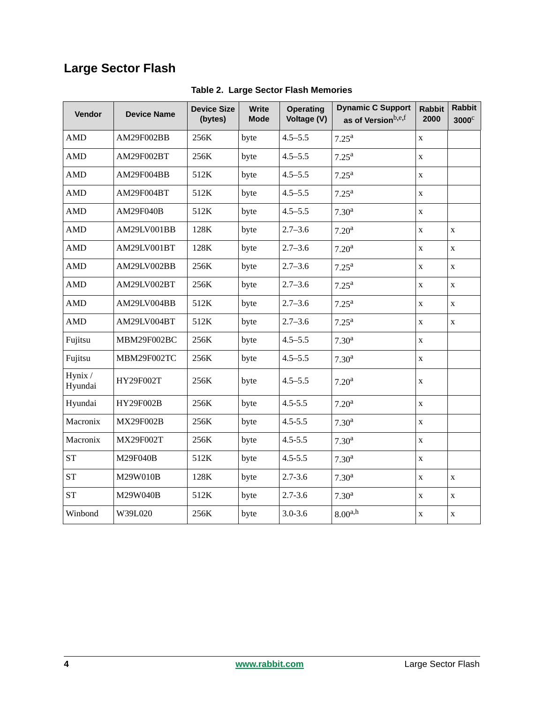## **Large Sector Flash**

| Vendor             | <b>Device Name</b> | <b>Device Size</b><br>(bytes) | <b>Write</b><br><b>Mode</b> | <b>Operating</b><br>Voltage (V) | <b>Dynamic C Support</b><br>as of Versionb,e,f | <b>Rabbit</b><br>2000 | <b>Rabbit</b><br>$3000^\circ$ |
|--------------------|--------------------|-------------------------------|-----------------------------|---------------------------------|------------------------------------------------|-----------------------|-------------------------------|
| <b>AMD</b>         | AM29F002BB         | 256K                          | byte                        | $4.5 - 5.5$                     | $7.25^{\rm a}$                                 | $\mathbf X$           |                               |
| <b>AMD</b>         | AM29F002BT         | 256K                          | byte                        | $4.5 - 5.5$                     | $7.25^{\rm a}$                                 | $\mathbf X$           |                               |
| <b>AMD</b>         | AM29F004BB         | 512K                          | byte                        | $4.5 - 5.5$                     | $7.25^{\rm a}$                                 | $\mathbf X$           |                               |
| <b>AMD</b>         | AM29F004BT         | 512K                          | byte                        | $4.5 - 5.5$                     | $7.25^{\rm a}$                                 | $\mathbf X$           |                               |
| <b>AMD</b>         | <b>AM29F040B</b>   | 512K                          | byte                        | $4.5 - 5.5$                     | 7.30 <sup>a</sup>                              | $\mathbf X$           |                               |
| <b>AMD</b>         | AM29LV001BB        | 128K                          | byte                        | $2.7 - 3.6$                     | 7.20 <sup>a</sup>                              | $\mathbf X$           | $\mathbf X$                   |
| <b>AMD</b>         | AM29LV001BT        | 128K                          | byte                        | $2.7 - 3.6$                     | 7.20 <sup>a</sup>                              | X                     | $\mathbf X$                   |
| <b>AMD</b>         | AM29LV002BB        | 256K                          | byte                        | $2.7 - 3.6$                     | $7.25^{\rm a}$                                 | $\mathbf X$           | $\mathbf X$                   |
| <b>AMD</b>         | AM29LV002BT        | 256K                          | byte                        | $2.7 - 3.6$                     | $7.25^{\rm a}$                                 | $\mathbf X$           | $\mathbf X$                   |
| <b>AMD</b>         | AM29LV004BB        | 512K                          | byte                        | $2.7 - 3.6$                     | $7.25^{\rm a}$                                 | $\mathbf X$           | $\mathbf{X}$                  |
| <b>AMD</b>         | AM29LV004BT        | 512K                          | byte                        | $2.7 - 3.6$                     | $7.25^{\rm a}$                                 | $\mathbf X$           | $\mathbf X$                   |
| Fujitsu            | MBM29F002BC        | 256K                          | byte                        | $4.5 - 5.5$                     | 7.30 <sup>a</sup>                              | $\mathbf{X}$          |                               |
| Fujitsu            | MBM29F002TC        | 256K                          | byte                        | $4.5 - 5.5$                     | 7.30 <sup>a</sup>                              | $\mathbf X$           |                               |
| Hynix /<br>Hyundai | HY29F002T          | 256K                          | byte                        | $4.5 - 5.5$                     | 7.20 <sup>a</sup>                              | $\mathbf X$           |                               |
| Hyundai            | HY29F002B          | 256K                          | byte                        | $4.5 - 5.5$                     | 7.20 <sup>a</sup>                              | $\mathbf X$           |                               |
| Macronix           | <b>MX29F002B</b>   | 256K                          | byte                        | $4.5 - 5.5$                     | 7.30 <sup>a</sup>                              | $\mathbf X$           |                               |
| Macronix           | MX29F002T          | 256K                          | byte                        | $4.5 - 5.5$                     | 7.30 <sup>a</sup>                              | $\mathbf X$           |                               |
| <b>ST</b>          | M29F040B           | 512K                          | byte                        | $4.5 - 5.5$                     | 7.30 <sup>a</sup>                              | $\mathbf X$           |                               |
| <b>ST</b>          | M29W010B           | 128K                          | byte                        | $2.7 - 3.6$                     | 7.30 <sup>a</sup>                              | $\mathbf X$           | $\mathbf X$                   |
| <b>ST</b>          | M29W040B           | 512K                          | byte                        | $2.7 - 3.6$                     | 7.30 <sup>a</sup>                              | $\mathbf X$           | $\mathbf X$                   |
| Winbond            | W39L020            | 256K                          | byte                        | $3.0 - 3.6$                     | $8.00^{a,h}$                                   | $\mathbf X$           | $\mathbf X$                   |

**Table 2. Large Sector Flash Memories**